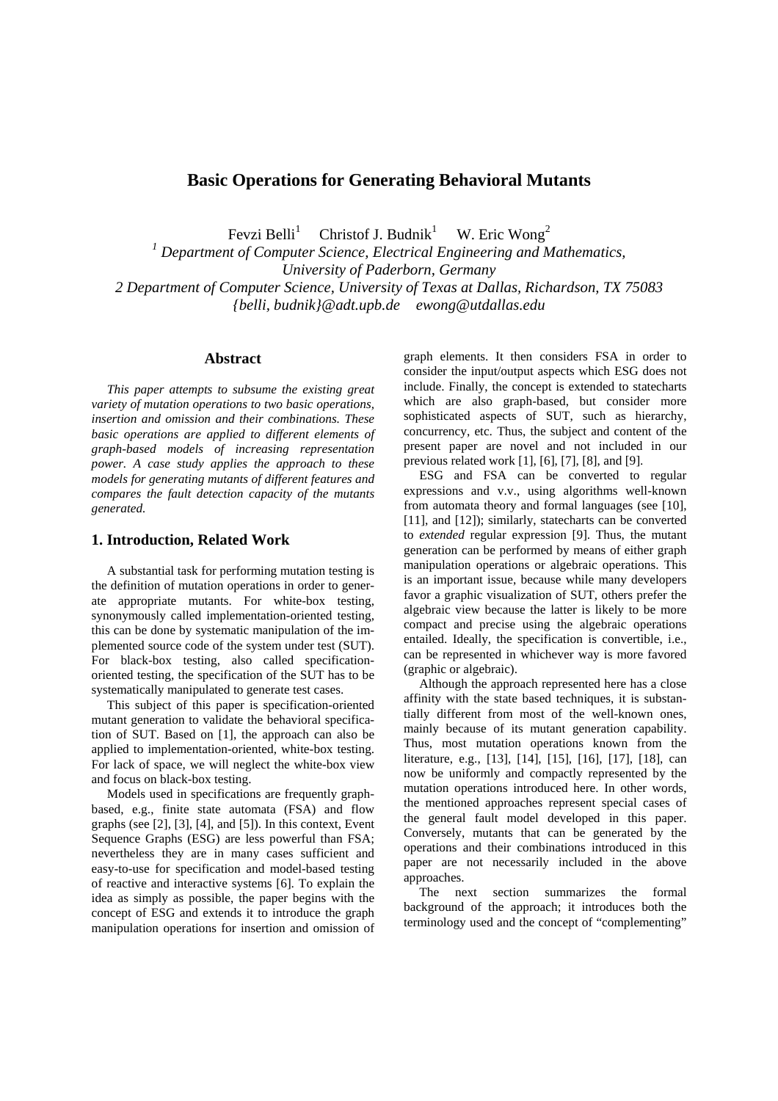# **Basic Operations for Generating Behavioral Mutants**

Fevzi Belli $<sup>1</sup>$ </sup> Christof J. Budnik $1$ W. Eric Wong<sup>2</sup>

<sup>1</sup> Department of Computer Science, Electrical Engineering and Mathematics,

*University of Paderborn, Germany* 

*2 Department of Computer Science, University of Texas at Dallas, Richardson, TX 75083 {belli, budnik}@adt.upb.de ewong@utdallas.edu* 

### **Abstract**

*This paper attempts to subsume the existing great variety of mutation operations to two basic operations, insertion and omission and their combinations. These basic operations are applied to different elements of graph-based models of increasing representation power. A case study applies the approach to these models for generating mutants of different features and compares the fault detection capacity of the mutants generated.* 

#### **1. Introduction, Related Work**

A substantial task for performing mutation testing is the definition of mutation operations in order to generate appropriate mutants. For white-box testing, synonymously called implementation-oriented testing, this can be done by systematic manipulation of the implemented source code of the system under test (SUT). For black-box testing, also called specificationoriented testing, the specification of the SUT has to be systematically manipulated to generate test cases.

This subject of this paper is specification-oriented mutant generation to validate the behavioral specification of SUT. Based on [1], the approach can also be applied to implementation-oriented, white-box testing. For lack of space, we will neglect the white-box view and focus on black-box testing.

Models used in specifications are frequently graphbased, e.g., finite state automata (FSA) and flow graphs (see [2], [3], [4], and [5]). In this context, Event Sequence Graphs (ESG) are less powerful than FSA; nevertheless they are in many cases sufficient and easy-to-use for specification and model-based testing of reactive and interactive systems [6]. To explain the idea as simply as possible, the paper begins with the concept of ESG and extends it to introduce the graph manipulation operations for insertion and omission of graph elements. It then considers FSA in order to consider the input/output aspects which ESG does not include. Finally, the concept is extended to statecharts which are also graph-based, but consider more sophisticated aspects of SUT, such as hierarchy, concurrency, etc. Thus, the subject and content of the present paper are novel and not included in our previous related work [1], [6], [7], [8], and [9].

ESG and FSA can be converted to regular expressions and v.v., using algorithms well-known from automata theory and formal languages (see [10], [11], and [12]); similarly, statecharts can be converted to *extended* regular expression [9]. Thus, the mutant generation can be performed by means of either graph manipulation operations or algebraic operations. This is an important issue, because while many developers favor a graphic visualization of SUT, others prefer the algebraic view because the latter is likely to be more compact and precise using the algebraic operations entailed. Ideally, the specification is convertible, i.e., can be represented in whichever way is more favored (graphic or algebraic).

Although the approach represented here has a close affinity with the state based techniques, it is substantially different from most of the well-known ones, mainly because of its mutant generation capability. Thus, most mutation operations known from the literature, e.g., [13], [14], [15], [16], [17], [18], can now be uniformly and compactly represented by the mutation operations introduced here. In other words, the mentioned approaches represent special cases of the general fault model developed in this paper. Conversely, mutants that can be generated by the operations and their combinations introduced in this paper are not necessarily included in the above approaches.

The next section summarizes the formal background of the approach; it introduces both the terminology used and the concept of "complementing"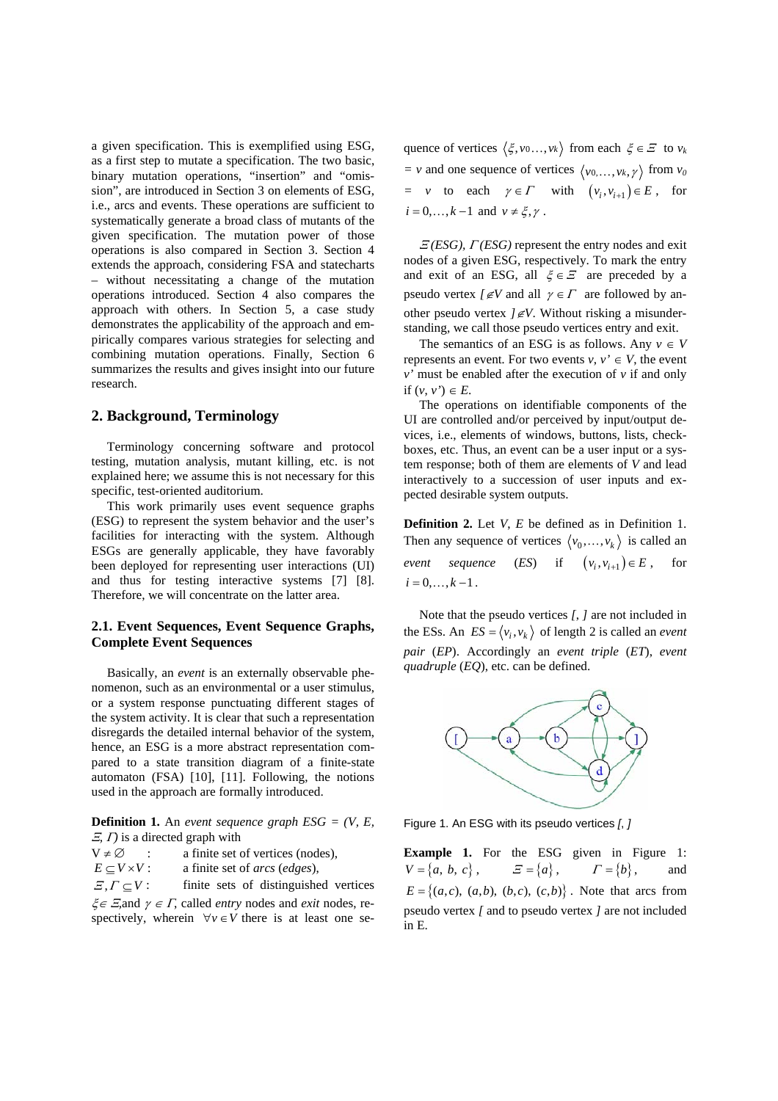a given specification. This is exemplified using ESG, as a first step to mutate a specification. The two basic, binary mutation operations, "insertion" and "omission", are introduced in Section 3 on elements of ESG, i.e., arcs and events. These operations are sufficient to systematically generate a broad class of mutants of the given specification. The mutation power of those operations is also compared in Section 3. Section 4 extends the approach, considering FSA and statecharts – without necessitating a change of the mutation operations introduced. Section 4 also compares the approach with others. In Section 5, a case study demonstrates the applicability of the approach and empirically compares various strategies for selecting and combining mutation operations. Finally, Section 6 summarizes the results and gives insight into our future research.

### **2. Background, Terminology**

Terminology concerning software and protocol testing, mutation analysis, mutant killing, etc. is not explained here; we assume this is not necessary for this specific, test-oriented auditorium.

This work primarily uses event sequence graphs (ESG) to represent the system behavior and the user's facilities for interacting with the system. Although ESGs are generally applicable, they have favorably been deployed for representing user interactions (UI) and thus for testing interactive systems [7] [8]. Therefore, we will concentrate on the latter area.

## **2.1. Event Sequences, Event Sequence Graphs, Complete Event Sequences**

Basically, an *event* is an externally observable phenomenon, such as an environmental or a user stimulus, or a system response punctuating different stages of the system activity. It is clear that such a representation disregards the detailed internal behavior of the system, hence, an ESG is a more abstract representation compared to a state transition diagram of a finite-state automaton (FSA) [10], [11]. Following, the notions used in the approach are formally introduced.

**Definition 1.** An *event sequence graph ESG = (V, E,*  <sup>Ξ</sup>*,* Γ*)* is a directed graph with

 $V \neq \emptyset$  : a finite set of vertices (nodes),

 $E \subset V \times V$ : a finite set of *arcs* (*edges*),

 $E, \Gamma \subset V$ : finite sets of distinguished vertices ξ∈ <sup>Ξ</sup>*,*and <sup>γ</sup> <sup>∈</sup> <sup>Γ</sup>, called *entry* nodes and *exit* nodes, respectively, wherein  $\forall v \in V$  there is at least one sequence of vertices  $\langle \xi, v_0, \ldots, v_k \rangle$  from each  $\xi \in \Xi$  to  $v_k$  $=$  *v* and one sequence of vertices  $\langle v_0, \ldots, v_k, \gamma \rangle$  from  $v_0$  $= v$  to each  $\gamma \in \Gamma$  with  $(v_i, v_{i+1}) \in E$ , for  $i = 0, \ldots, k-1$  and  $v \neq \xi, \gamma$ .

<sup>Ξ</sup> *(ESG),* Γ *(ESG)* represent the entry nodes and exit nodes of a given ESG, respectively. To mark the entry and exit of an ESG, all  $\xi \in \mathcal{E}$  are preceded by a pseudo vertex  $\ell \not\in V$  and all  $\gamma \in \Gamma$  are followed by another pseudo vertex *]*∉*V*. Without risking a misunderstanding, we call those pseudo vertices entry and exit.

The semantics of an ESG is as follows. Any  $v \in V$ represents an event. For two events  $v, v' \in V$ , the event *v'* must be enabled after the execution of *v* if and only if  $(v, v') \in E$ .

The operations on identifiable components of the UI are controlled and/or perceived by input/output devices, i.e., elements of windows, buttons, lists, checkboxes, etc. Thus, an event can be a user input or a system response; both of them are elements of *V* and lead interactively to a succession of user inputs and expected desirable system outputs.

**Definition 2.** Let *V*, *E* be defined as in Definition 1. Then any sequence of vertices  $\langle v_0, \ldots, v_k \rangle$  is called an *event sequence* (*ES*) if  $(v_i, v_{i+1}) \in E$ , for  $i = 0, \ldots, k - 1$ .

Note that the pseudo vertices *[*, *]* are not included in the ESs. An  $ES = \langle v_i, v_k \rangle$  of length 2 is called an *event pair* (*EP*). Accordingly an *event triple* (*ET*), *event quadruple* (*EQ*), etc. can be defined.



Figure 1. An ESG with its pseudo vertices *[*, *]*

**Example 1.** For the ESG given in Figure 1:  $V = \{a, b, c\}, \qquad E = \{a\}, \qquad \Gamma = \{b\},\$  $E = \{(a, c), (a, b), (b, c), (c, b)\}\.$  Note that arcs from pseudo vertex *[* and to pseudo vertex *]* are not included in E.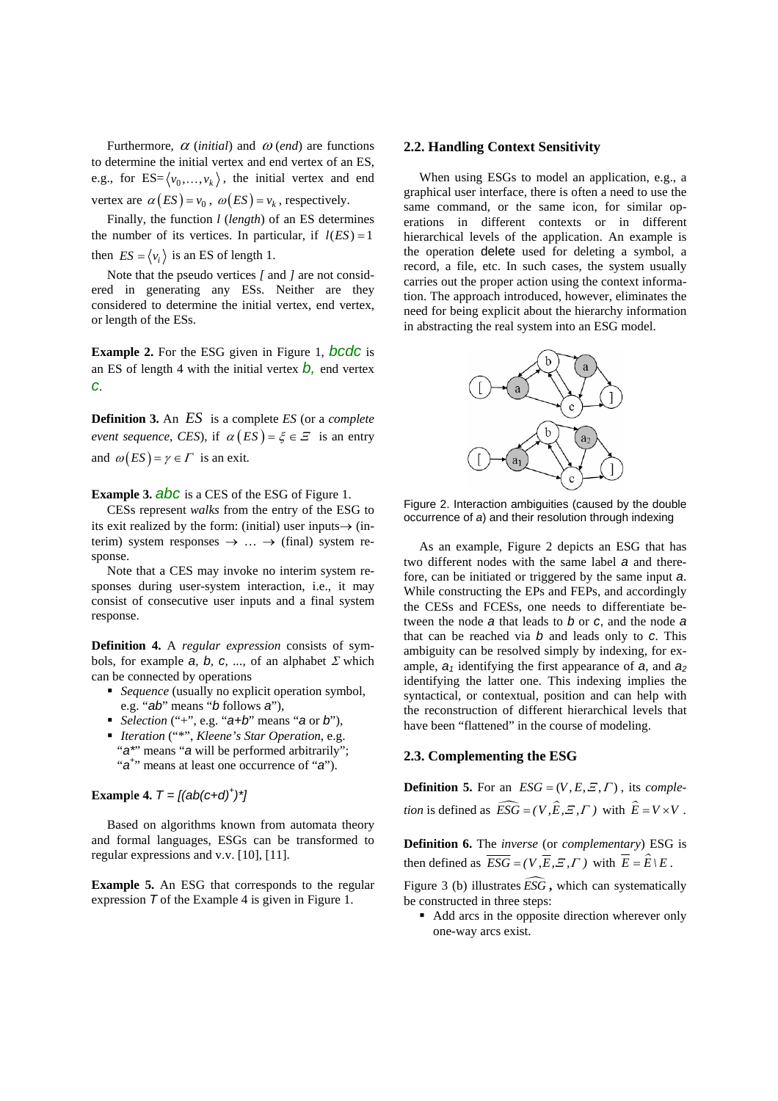Furthermore,  $\alpha$  (*initial*) and  $\omega$  (*end*) are functions to determine the initial vertex and end vertex of an ES, e.g., for  $ES = \langle v_0, \ldots, v_k \rangle$ , the initial vertex and end vertex are  $\alpha(ES) = v_0$ ,  $\omega(ES) = v_k$ , respectively.

Finally, the function *l* (*length*) of an ES determines the number of its vertices. In particular, if  $l(ES) = 1$ then  $ES = \langle v_i \rangle$  is an ES of length 1.

Note that the pseudo vertices *[* and *]* are not considered in generating any ESs. Neither are they considered to determine the initial vertex, end vertex, or length of the ESs.

**Example 2.** For the ESG given in Figure 1, *bcdc* is an ES of length 4 with the initial vertex  $\dot{b}$ , end vertex *c*.

**Definition 3.** An *ES* is a complete *ES* (or a *complete event sequence, CES*), if  $\alpha$  (*ES*) =  $\xi \in \mathcal{Z}$  is an entry and  $\omega (ES) = \gamma \in \Gamma$  is an exit.

**Example 3.** *abc* is a CES of the ESG of Figure 1.

CESs represent *walks* from the entry of the ESG to its exit realized by the form: (initial) user inputs $\rightarrow$  (interim) system responses  $\rightarrow \dots \rightarrow$  (final) system response.

Note that a CES may invoke no interim system responses during user-system interaction, i.e., it may consist of consecutive user inputs and a final system response.

**Definition 4.** A *regular expression* consists of symbols, for example  $a, b, c, \ldots$  of an alphabet  $\Sigma$  which can be connected by operations

- *Sequence* (usually no explicit operation symbol, e.g. "*ab*" means "*b* follows *a*"),
- *Selection* ("+", e.g. "*a+b*" means "*a* or *b*"),
- *Iteration* ("\*", *Kleene's Star Operation*, e.g. "a\*' means "a will be performed arbitrarily"; "*a*<sup>+</sup>" means at least one occurrence of "*a*").

# **Example 4.**  $T = [(ab(c+d)^{+})^{*}]$

Based on algorithms known from automata theory and formal languages, ESGs can be transformed to regular expressions and v.v. [10], [11].

**Example 5.** An ESG that corresponds to the regular expression *T* of the Example 4 is given in Figure 1.

#### **2.2. Handling Context Sensitivity**

When using ESGs to model an application, e.g., a graphical user interface, there is often a need to use the same command, or the same icon, for similar operations in different contexts or in different hierarchical levels of the application. An example is the operation delete used for deleting a symbol, a record, a file, etc. In such cases, the system usually carries out the proper action using the context information. The approach introduced, however, eliminates the need for being explicit about the hierarchy information in abstracting the real system into an ESG model.



Figure 2. Interaction ambiguities (caused by the double occurrence of *a*) and their resolution through indexing

As an example, Figure 2 depicts an ESG that has two different nodes with the same label *a* and therefore, can be initiated or triggered by the same input *a*. While constructing the EPs and FEPs, and accordingly the CESs and FCESs, one needs to differentiate between the node *a* that leads to *b* or *c*, and the node *a* that can be reached via *b* and leads only to *c*. This ambiguity can be resolved simply by indexing, for example,  $a_1$  identifying the first appearance of  $a_2$ , and  $a_2$ identifying the latter one. This indexing implies the syntactical, or contextual, position and can help with the reconstruction of different hierarchical levels that have been "flattened" in the course of modeling.

### **2.3. Complementing the ESG**

**Definition 5.** For an  $ESG = (V, E, E, \Gamma)$ , its *completion* is defined as  $\widehat{ESG} = (V, \widehat{E}, \widehat{E}, \Gamma)$  with  $\widehat{E} = V \times V$ .

**Definition 6.** The *inverse* (or *complementary*) ESG is then defined as  $\overline{ESG} = (V, \overline{E}, \overline{E}, \overline{F})$  with  $\overline{E} = \hat{E} \backslash E$ .

Figure 3 (b) illustrates  $\widehat{ESG}$ , which can systematically be constructed in three steps:

 Add arcs in the opposite direction wherever only one-way arcs exist.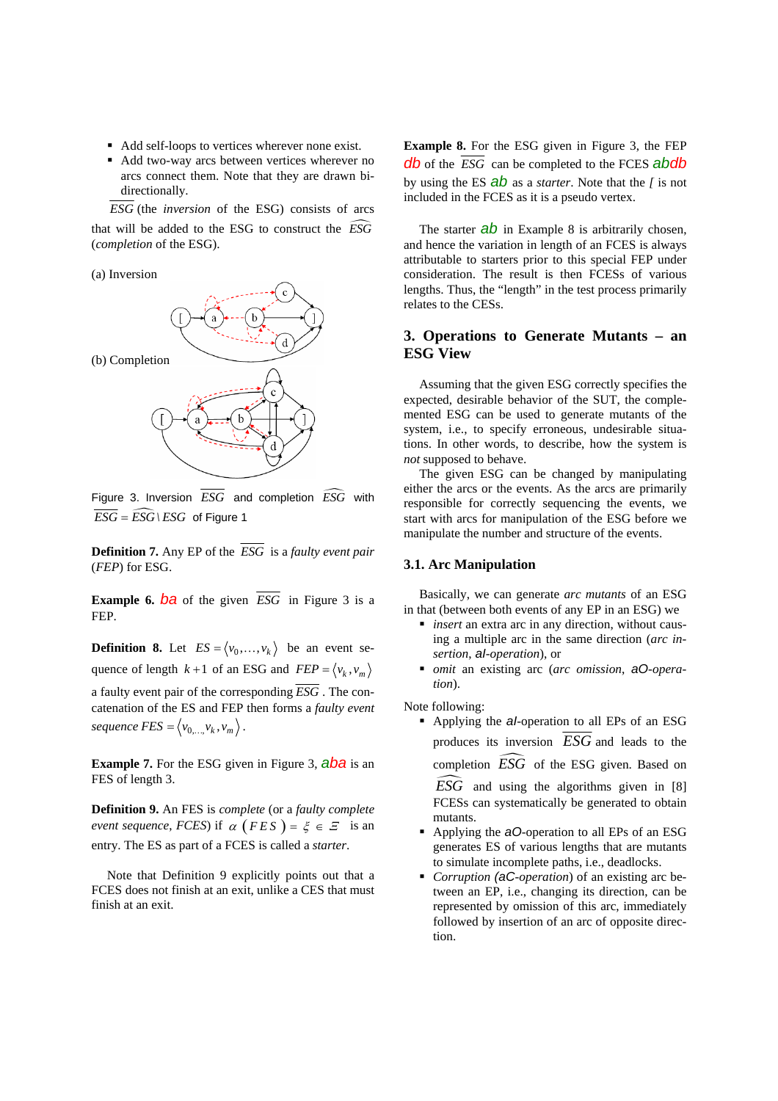- Add self-loops to vertices wherever none exist.
- Add two-way arcs between vertices wherever no arcs connect them. Note that they are drawn bidirectionally.

*ESG* (the *inversion* of the ESG) consists of arcs that will be added to the ESG to construct the  $\widehat{ESG}$ (*completion* of the ESG).

(a) Inversion



Figure 3. Inversion  $\overline{ESG}$  and completion  $\widehat{ESG}$  with  $\overline{ESG} = \widehat{ESG} \setminus ESG$  of Figure 1

**Definition 7.** Any EP of the *ESG* is a *faulty event pair* (*FEP*) for ESG.

**Example 6.**  $\overline{ba}$  of the given  $\overline{ESG}$  in Figure 3 is a FEP.

**Definition 8.** Let  $ES = \langle v_0, \ldots, v_k \rangle$  be an event sequence of length  $k+1$  of an ESG and  $FEP = \langle v_k, v_m \rangle$ a faulty event pair of the corresponding *ESG* . The concatenation of the ES and FEP then forms a *faulty event sequence*  $FES = \langle v_{0,...,} v_k, v_m \rangle$ .

**Example 7.** For the ESG given in Figure 3, **aba** is an FES of length 3.

**Definition 9.** An FES is *complete* (or a *faulty complete event sequence, FCES*) if  $\alpha$  (*FES*) =  $\xi \in \mathcal{F}$  is an entry. The ES as part of a FCES is called a *starter*.

Note that Definition 9 explicitly points out that a FCES does not finish at an exit, unlike a CES that must finish at an exit.

**Example 8.** For the ESG given in Figure 3, the FEP *db* of the *ESG* can be completed to the FCES *abdb*  by using the ES *ab* as a *starter*. Note that the *[* is not included in the FCES as it is a pseudo vertex.

The starter **ab** in Example 8 is arbitrarily chosen, and hence the variation in length of an FCES is always attributable to starters prior to this special FEP under consideration. The result is then FCESs of various lengths. Thus, the "length" in the test process primarily relates to the CESs.

# **3. Operations to Generate Mutants – an ESG View**

Assuming that the given ESG correctly specifies the expected, desirable behavior of the SUT, the complemented ESG can be used to generate mutants of the system, i.e., to specify erroneous, undesirable situations. In other words, to describe, how the system is *not* supposed to behave.

The given ESG can be changed by manipulating either the arcs or the events. As the arcs are primarily responsible for correctly sequencing the events, we start with arcs for manipulation of the ESG before we manipulate the number and structure of the events.

#### **3.1. Arc Manipulation**

Basically, we can generate *arc mutants* of an ESG in that (between both events of any EP in an ESG) we

- *insert* an extra arc in any direction, without causing a multiple arc in the same direction (*arc insertion*, *aI-operation*), or
- *omit* an existing arc (*arc omission*, *aO-operation*).

Note following:

n

 Applying the *aI*-operation to all EPs of an ESG produces its inversion *ESG* and leads to the completion  $\overline{ESG}$  of the ESG given. Based on

*ESG* and using the algorithms given in [8] FCESs can systematically be generated to obtain mutants.

- Applying the *aO*-operation to all EPs of an ESG generates ES of various lengths that are mutants to simulate incomplete paths, i.e., deadlocks.
- *Corruption (aC-operation*) of an existing arc between an EP, i.e., changing its direction, can be represented by omission of this arc, immediately followed by insertion of an arc of opposite direction.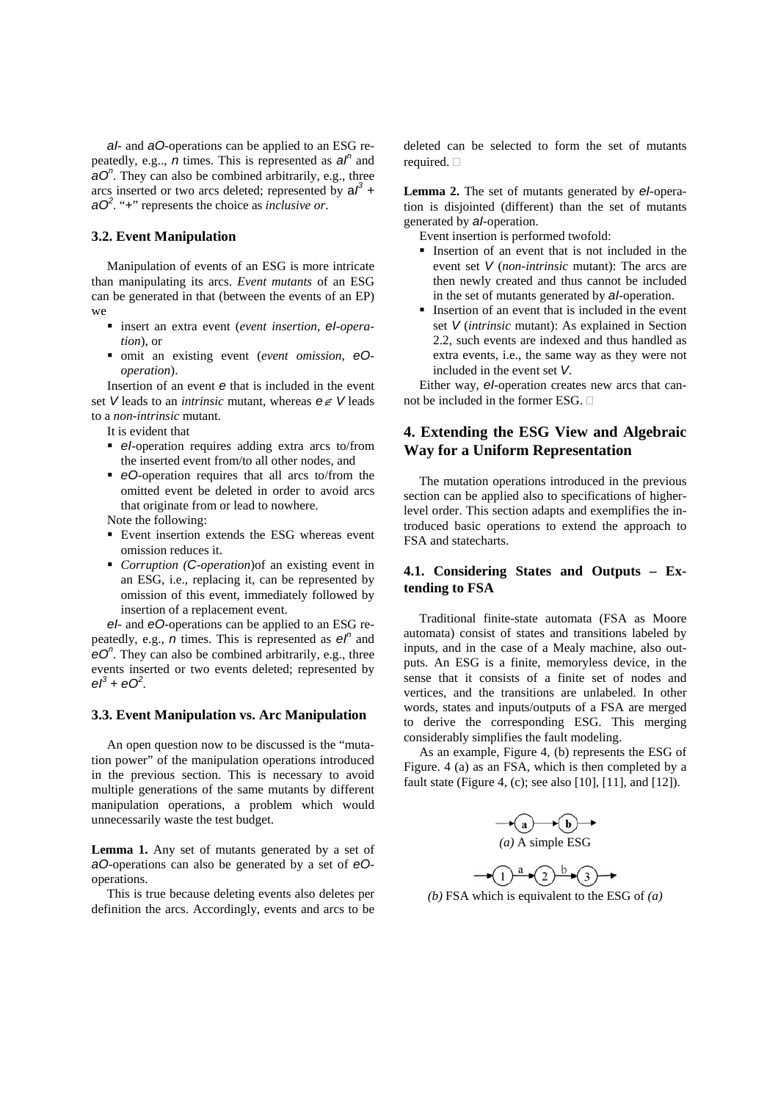*aI*- and *aO*-operations can be applied to an ESG repeatedly, e.g., *n* times. This is represented as  $a^n$  and *aO<sup>n</sup>*. They can also be combined arbitrarily, e.g., three arcs inserted or two arcs deleted; represented by  $aI^3$  + *aO<sup>2</sup>* . "+" represents the choice as *inclusive or*.

#### **3.2. Event Manipulation**

Manipulation of events of an ESG is more intricate than manipulating its arcs. *Event mutants* of an ESG can be generated in that (between the events of an EP) we

- insert an extra event (*event insertion*, *eI-operation*), or
- omit an existing event (*event omission*, *eOoperation*).

Insertion of an event *e* that is included in the event set *V* leads to an *intrinsic* mutant, whereas *e*∉ *V* leads to a *non-intrinsic* mutant.

- It is evident that
- **e**I-operation requires adding extra arcs to/from the inserted event from/to all other nodes, and
- *eO*-operation requires that all arcs to/from the omitted event be deleted in order to avoid arcs that originate from or lead to nowhere.

Note the following:

- Event insertion extends the ESG whereas event omission reduces it.
- *Corruption (C-operation*)of an existing event in an ESG, i.e., replacing it, can be represented by omission of this event, immediately followed by insertion of a replacement event.

*eI*- and *eO*-operations can be applied to an ESG repeatedly, e.g.,  $\overrightarrow{n}$  times. This is represented as  $e^{\overrightarrow{n}}$  and *eO<sup>n</sup>* . They can also be combined arbitrarily, e.g., three events inserted or two events deleted; represented by  $eI^3 + eO^2$ .

#### **3.3. Event Manipulation vs. Arc Manipulation**

An open question now to be discussed is the "mutation power" of the manipulation operations introduced in the previous section. This is necessary to avoid multiple generations of the same mutants by different manipulation operations, a problem which would unnecessarily waste the test budget.

**Lemma 1.** Any set of mutants generated by a set of *aO*-operations can also be generated by a set of *eO*operations.

This is true because deleting events also deletes per definition the arcs. Accordingly, events and arcs to be deleted can be selected to form the set of mutants required.  $\square$ 

**Lemma 2.** The set of mutants generated by *eI*-operation is disjointed (different) than the set of mutants generated by *aI*-operation.

Event insertion is performed twofold:

- Insertion of an event that is not included in the event set *V* (*non-intrinsic* mutant): The arcs are then newly created and thus cannot be included in the set of mutants generated by *aI*-operation.
- Insertion of an event that is included in the event set *V* (*intrinsic* mutant): As explained in Section 2.2, such events are indexed and thus handled as extra events, i.e., the same way as they were not included in the event set *V*.

Either way, *eI*-operation creates new arcs that cannot be included in the former ESG.  $\Box$ 

# **4. Extending the ESG View and Algebraic Way for a Uniform Representation**

The mutation operations introduced in the previous section can be applied also to specifications of higherlevel order. This section adapts and exemplifies the introduced basic operations to extend the approach to FSA and statecharts.

### **4.1. Considering States and Outputs – Extending to FSA**

Traditional finite-state automata (FSA as Moore automata) consist of states and transitions labeled by inputs, and in the case of a Mealy machine, also outputs. An ESG is a finite, memoryless device, in the sense that it consists of a finite set of nodes and vertices, and the transitions are unlabeled. In other words, states and inputs/outputs of a FSA are merged to derive the corresponding ESG. This merging considerably simplifies the fault modeling.

As an example, Figure 4, (b) represents the ESG of Figure. 4 (a) as an FSA, which is then completed by a fault state (Figure 4, (c); see also [10], [11], and [12]).

$$
(a) \rightarrow (b) \rightarrow (c)
$$
  
(a) A simple ESG

$$
\rightarrow \textcircled{1}^a \rightarrow \textcircled{2}^b \rightarrow \textcircled{3}^b \rightarrow \textcircled{3}
$$

*(b)* FSA which is equivalent to the ESG of *(a)*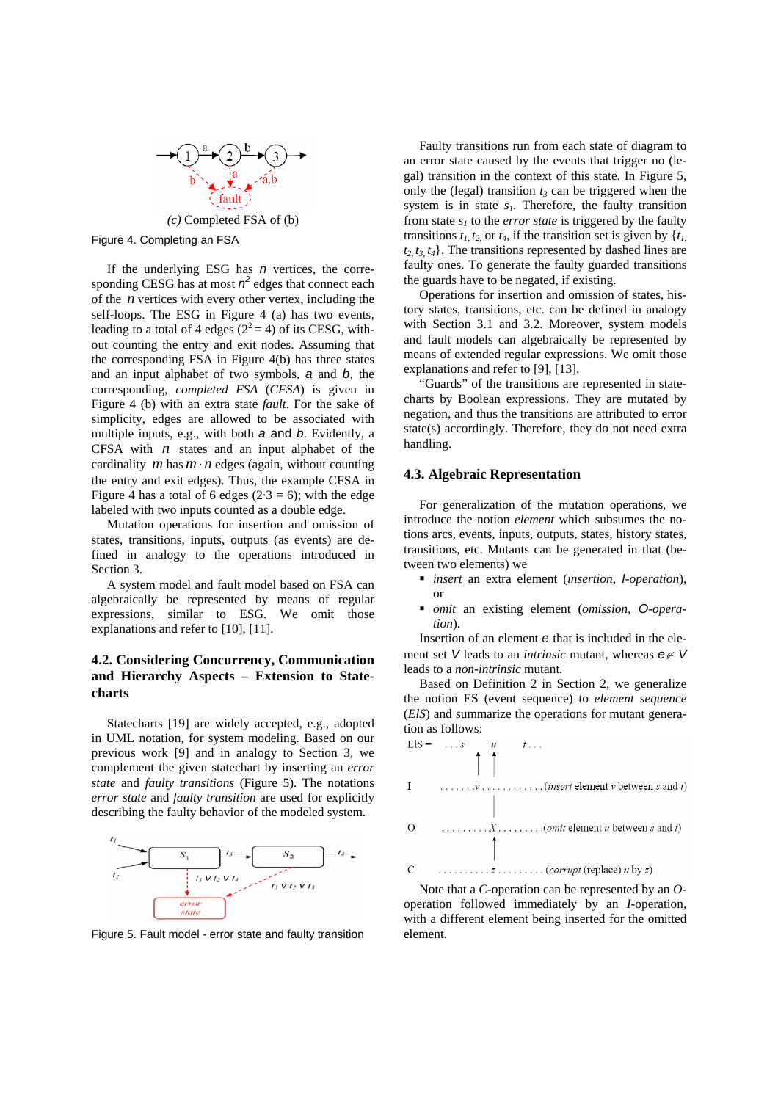

Figure 4. Completing an FSA

If the underlying ESG has *n* vertices, the corresponding CESG has at most  $n^2$  edges that connect each of the *n* vertices with every other vertex, including the self-loops. The ESG in Figure 4 (a) has two events, leading to a total of 4 edges  $(2^2 = 4)$  of its CESG, without counting the entry and exit nodes. Assuming that the corresponding FSA in Figure 4(b) has three states and an input alphabet of two symbols, *a* and *b*, the corresponding, *completed FSA* (*CFSA*) is given in Figure 4 (b) with an extra state *fault*. For the sake of simplicity, edges are allowed to be associated with multiple inputs, e.g., with both *a* and *b*. Evidently, a CFSA with *n* states and an input alphabet of the cardinality  $m \text{ has } m \cdot n$  edges (again, without counting the entry and exit edges). Thus, the example CFSA in Figure 4 has a total of 6 edges  $(2.3 = 6)$ ; with the edge labeled with two inputs counted as a double edge.

Mutation operations for insertion and omission of states, transitions, inputs, outputs (as events) are defined in analogy to the operations introduced in Section 3.

A system model and fault model based on FSA can algebraically be represented by means of regular expressions, similar to ESG. We omit those explanations and refer to [10], [11].

## **4.2. Considering Concurrency, Communication and Hierarchy Aspects – Extension to Statecharts**

Statecharts [19] are widely accepted, e.g., adopted in UML notation, for system modeling. Based on our previous work [9] and in analogy to Section 3, we complement the given statechart by inserting an *error state* and *faulty transitions* (Figure 5). The notations *error state* and *faulty transition* are used for explicitly describing the faulty behavior of the modeled system.



Figure 5. Fault model - error state and faulty transition

Faulty transitions run from each state of diagram to an error state caused by the events that trigger no (legal) transition in the context of this state. In Figure 5, only the (legal) transition  $t_3$  can be triggered when the system is in state  $s<sub>l</sub>$ . Therefore, the faulty transition from state  $s_1$  to the *error state* is triggered by the faulty transitions  $t_1, t_2$  or  $t_4$ , if the transition set is given by  $\{t_1, t_2, t_3, t_4, t_5, t_6, t_7, t_8, t_9, t_{10}\}$  $t_2$ ,  $t_3$ ,  $t_4$ }. The transitions represented by dashed lines are faulty ones. To generate the faulty guarded transitions the guards have to be negated, if existing.

Operations for insertion and omission of states, history states, transitions, etc. can be defined in analogy with Section 3.1 and 3.2. Moreover, system models and fault models can algebraically be represented by means of extended regular expressions. We omit those explanations and refer to [9], [13].

"Guards" of the transitions are represented in statecharts by Boolean expressions. They are mutated by negation, and thus the transitions are attributed to error state(s) accordingly. Therefore, they do not need extra handling.

#### **4.3. Algebraic Representation**

For generalization of the mutation operations, we introduce the notion *element* which subsumes the notions arcs, events, inputs, outputs, states, history states, transitions, etc. Mutants can be generated in that (between two elements) we

- *insert* an extra element (*insertion*, *I-operation*), or
- *omit* an existing element (*omission*, *O-operation*).

Insertion of an element *e* that is included in the element set *V* leads to an *intrinsic* mutant, whereas *e*∉ *V* leads to a *non-intrinsic* mutant.

Based on Definition 2 in Section 2, we generalize the notion ES (event sequence) to *element sequence* (*ElS*) and summarize the operations for mutant generation as follows:



operation followed immediately by an *I*-operation, with a different element being inserted for the omitted element.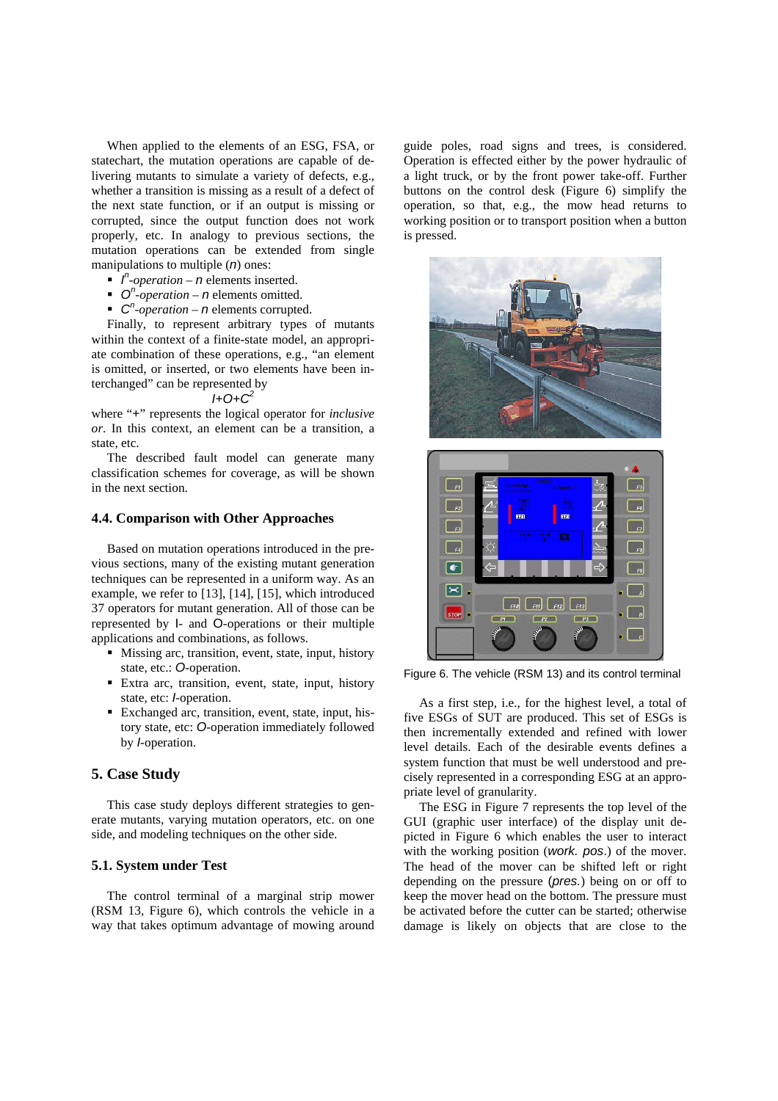When applied to the elements of an ESG, FSA, or statechart, the mutation operations are capable of delivering mutants to simulate a variety of defects, e.g., whether a transition is missing as a result of a defect of the next state function, or if an output is missing or corrupted, since the output function does not work properly, etc. In analogy to previous sections, the mutation operations can be extended from single manipulations to multiple (*n*) ones:

- $\int_{0}^{b}$  *I*<sup>n</sup>-operation *n* elements inserted.
- $\bullet$  *O<sup>n</sup>*-*operation n* elements omitted.
- $\bullet$  *C*<sup>*n*</sup>-*operation n* elements corrupted.

Finally, to represent arbitrary types of mutants within the context of a finite-state model, an appropriate combination of these operations, e.g., "an element is omitted, or inserted, or two elements have been interchanged" can be represented by

#### *I+O+C<sup>2</sup>*

where "+" represents the logical operator for *inclusive or*. In this context, an element can be a transition, a state, etc.

The described fault model can generate many classification schemes for coverage, as will be shown in the next section.

#### **4.4. Comparison with Other Approaches**

Based on mutation operations introduced in the previous sections, many of the existing mutant generation techniques can be represented in a uniform way. As an example, we refer to [13], [14], [15], which introduced 37 operators for mutant generation. All of those can be represented by I- and O-operations or their multiple applications and combinations, as follows.

- Missing arc, transition, event, state, input, history state, etc.: *O*-operation.
- Extra arc, transition, event, state, input, history state, etc: *I*-operation.
- Exchanged arc, transition, event, state, input, history state, etc: *O*-operation immediately followed by *I*-operation.

### **5. Case Study**

This case study deploys different strategies to generate mutants, varying mutation operators, etc. on one side, and modeling techniques on the other side.

## **5.1. System under Test**

The control terminal of a marginal strip mower (RSM 13, Figure 6), which controls the vehicle in a way that takes optimum advantage of mowing around guide poles, road signs and trees, is considered. Operation is effected either by the power hydraulic of a light truck, or by the front power take-off. Further buttons on the control desk (Figure 6) simplify the operation, so that, e.g., the mow head returns to working position or to transport position when a button is pressed.





Figure 6. The vehicle (RSM 13) and its control terminal

As a first step, i.e., for the highest level, a total of five ESGs of SUT are produced. This set of ESGs is then incrementally extended and refined with lower level details. Each of the desirable events defines a system function that must be well understood and precisely represented in a corresponding ESG at an appropriate level of granularity.

The ESG in Figure 7 represents the top level of the GUI (graphic user interface) of the display unit depicted in Figure 6 which enables the user to interact with the working position (*work. pos*.) of the mover. The head of the mover can be shifted left or right depending on the pressure (*pres.*) being on or off to keep the mover head on the bottom. The pressure must be activated before the cutter can be started; otherwise damage is likely on objects that are close to the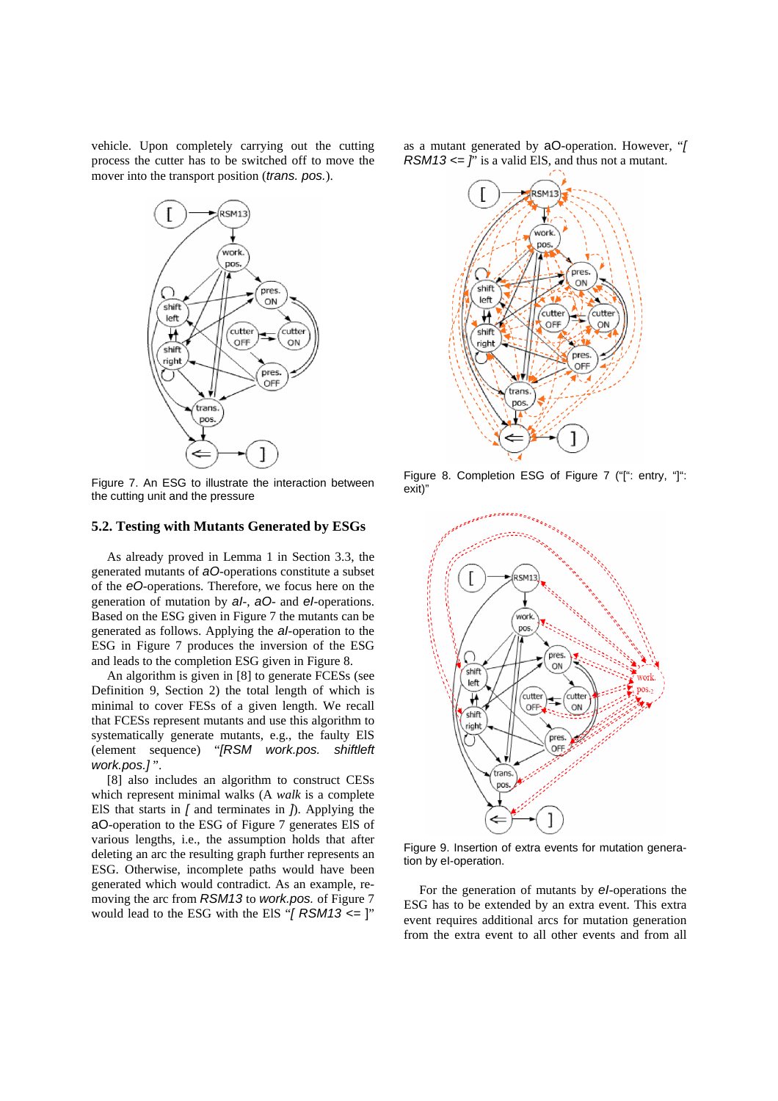vehicle. Upon completely carrying out the cutting process the cutter has to be switched off to move the mover into the transport position (*trans. pos.*).



Figure 7. An ESG to illustrate the interaction between the cutting unit and the pressure

#### **5.2. Testing with Mutants Generated by ESGs**

As already proved in Lemma 1 in Section 3.3, the generated mutants of *aO*-operations constitute a subset of the *eO-*operations. Therefore, we focus here on the generation of mutation by *aI*-, *aO*- and *eI*-operations. Based on the ESG given in Figure 7 the mutants can be generated as follows. Applying the *aI*-operation to the ESG in Figure 7 produces the inversion of the ESG and leads to the completion ESG given in Figure 8.

An algorithm is given in [8] to generate FCESs (see Definition 9, Section 2) the total length of which is minimal to cover FESs of a given length. We recall that FCESs represent mutants and use this algorithm to systematically generate mutants, e.g., the faulty ElS (element sequence) "*[RSM work.pos. shiftleft work.pos.]* ".

[8] also includes an algorithm to construct CESs which represent minimal walks (A *walk* is a complete ElS that starts in *[* and terminates in *]*). Applying the aO-operation to the ESG of Figure 7 generates ElS of various lengths, i.e., the assumption holds that after deleting an arc the resulting graph further represents an ESG. Otherwise, incomplete paths would have been generated which would contradict. As an example, removing the arc from *RSM13* to *work.pos.* of Figure 7 would lead to the ESG with the ElS "*[ RSM13 <=* ]" as a mutant generated by aO-operation. However, "*[ RSM13*  $\leq$  *j*' is a valid ElS, and thus not a mutant.



Figure 8. Completion ESG of Figure 7 ("[": entry, "]": exit)"



Figure 9. Insertion of extra events for mutation generation by eI-operation.

For the generation of mutants by *eI*-operations the ESG has to be extended by an extra event. This extra event requires additional arcs for mutation generation from the extra event to all other events and from all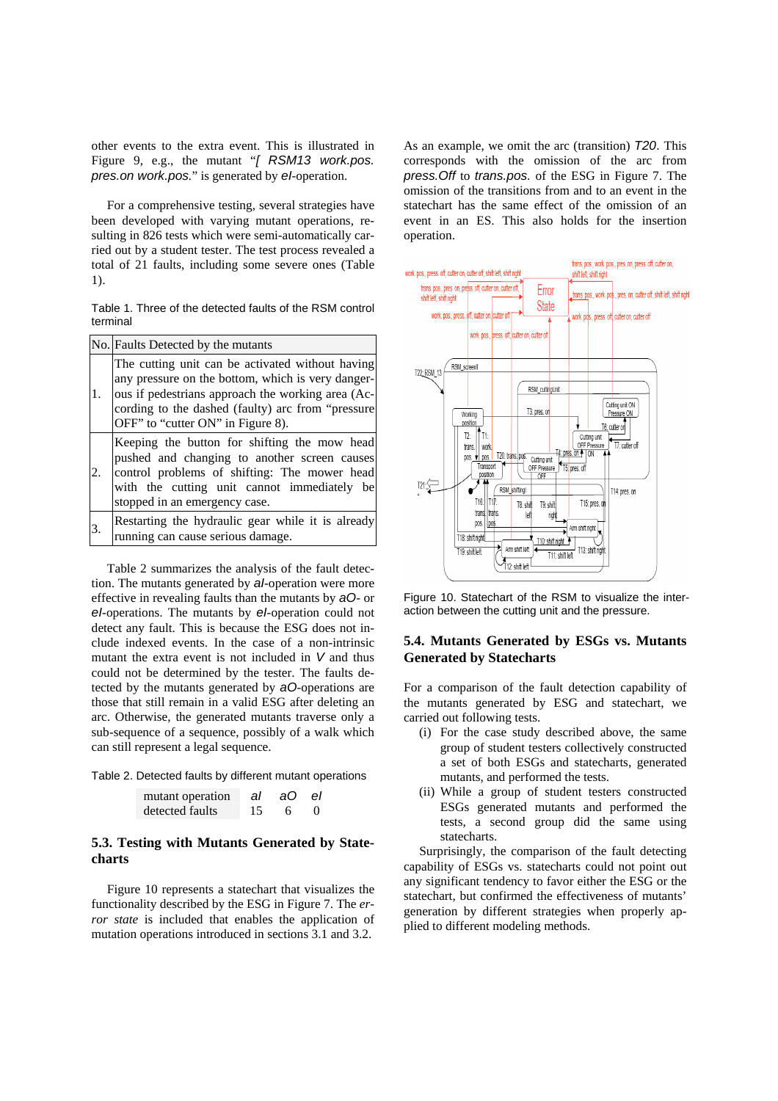other events to the extra event. This is illustrated in Figure 9, e.g., the mutant "*[ RSM13 work.pos. pres.on work.pos.*" is generated by *eI*-operation.

For a comprehensive testing, several strategies have been developed with varying mutant operations, resulting in 826 tests which were semi-automatically carried out by a student tester. The test process revealed a total of 21 faults, including some severe ones (Table 1).

Table 1. Three of the detected faults of the RSM control terminal

|    | No. Faults Detected by the mutants                                                                                                                                                                                                                   |  |  |  |
|----|------------------------------------------------------------------------------------------------------------------------------------------------------------------------------------------------------------------------------------------------------|--|--|--|
| 1. | The cutting unit can be activated without having<br>any pressure on the bottom, which is very danger-<br>ous if pedestrians approach the working area (Ac-<br>cording to the dashed (faulty) arc from "pressure<br>OFF" to "cutter ON" in Figure 8). |  |  |  |
| 2. | Keeping the button for shifting the mow head<br>pushed and changing to another screen causes<br>control problems of shifting: The mower head<br>with the cutting unit cannot immediately be<br>stopped in an emergency case.                         |  |  |  |
| 3. | Restarting the hydraulic gear while it is already<br>running can cause serious damage.                                                                                                                                                               |  |  |  |

Table 2 summarizes the analysis of the fault detection. The mutants generated by *aI*-operation were more effective in revealing faults than the mutants by *aO*- or *eI*-operations. The mutants by *eI*-operation could not detect any fault. This is because the ESG does not include indexed events. In the case of a non-intrinsic mutant the extra event is not included in *V* and thus could not be determined by the tester. The faults detected by the mutants generated by *aO*-operations are those that still remain in a valid ESG after deleting an arc. Otherwise, the generated mutants traverse only a sub-sequence of a sequence, possibly of a walk which can still represent a legal sequence.

Table 2. Detected faults by different mutant operations

| mutant operation | al | aO. | el |  |
|------------------|----|-----|----|--|
| detected faults  | 15 |     |    |  |

# **5.3. Testing with Mutants Generated by Statecharts**

Figure 10 represents a statechart that visualizes the functionality described by the ESG in Figure 7. The *error state* is included that enables the application of mutation operations introduced in sections 3.1 and 3.2.

As an example, we omit the arc (transition) *T20*. This corresponds with the omission of the arc from *press.Off* to *trans.pos.* of the ESG in Figure 7. The omission of the transitions from and to an event in the statechart has the same effect of the omission of an event in an ES. This also holds for the insertion operation.



Figure 10. Statechart of the RSM to visualize the interaction between the cutting unit and the pressure.

### **5.4. Mutants Generated by ESGs vs. Mutants Generated by Statecharts**

For a comparison of the fault detection capability of the mutants generated by ESG and statechart, we carried out following tests.

- (i) For the case study described above, the same group of student testers collectively constructed a set of both ESGs and statecharts, generated mutants, and performed the tests.
- (ii) While a group of student testers constructed ESGs generated mutants and performed the tests, a second group did the same using statecharts.

Surprisingly, the comparison of the fault detecting capability of ESGs vs. statecharts could not point out any significant tendency to favor either the ESG or the statechart, but confirmed the effectiveness of mutants' generation by different strategies when properly applied to different modeling methods.